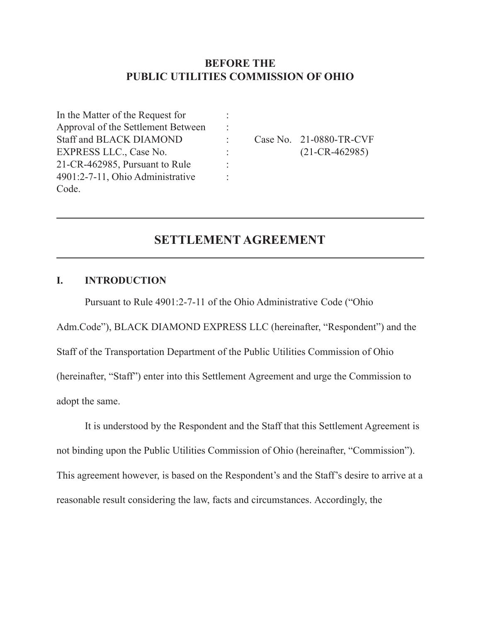## **BEFORE THE PUBLIC UTILITIES COMMISSION OF OHIO**

: : : : : :

In the Matter of the Request for Approval of the Settlement Between Staff and BLACK DIAMOND EXPRESS LLC., Case No. 21-CR-462985, Pursuant to Rule 4901:2-7-11, Ohio Administrative Code.

Case No. 21-0880-TR-CVF (21-CR-462985)

# **SETTLEMENT AGREEMENT**

#### **I. INTRODUCTION**

Pursuant to Rule 4901:2-7-11 of the Ohio Administrative Code ("Ohio

Adm.Code"), BLACK DIAMOND EXPRESS LLC (hereinafter, "Respondent") and the Staff of the Transportation Department of the Public Utilities Commission of Ohio (hereinafter, "Staff") enter into this Settlement Agreement and urge the Commission to adopt the same.

It is understood by the Respondent and the Staff that this Settlement Agreement is not binding upon the Public Utilities Commission of Ohio (hereinafter, "Commission"). This agreement however, is based on the Respondent's and the Staff's desire to arrive at a reasonable result considering the law, facts and circumstances. Accordingly, the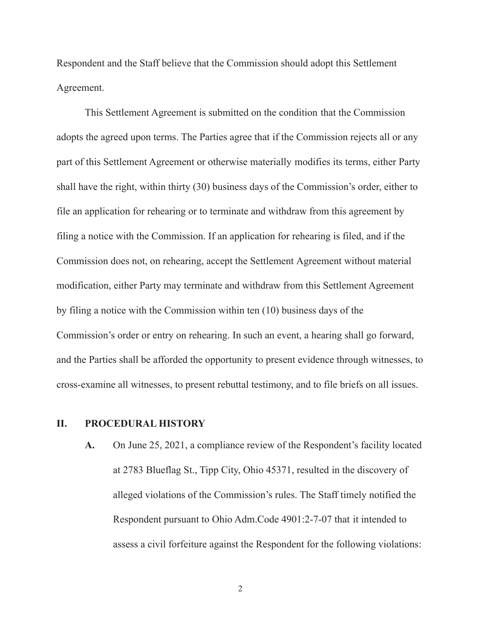Respondent and the Staff believe that the Commission should adopt this Settlement Agreement.

This Settlement Agreement is submitted on the condition that the Commission adopts the agreed upon terms. The Parties agree that if the Commission rejects all or any part of this Settlement Agreement or otherwise materially modifies its terms, either Party shall have the right, within thirty (30) business days of the Commission's order, either to file an application for rehearing or to terminate and withdraw from this agreement by filing a notice with the Commission. If an application for rehearing is filed, and if the Commission does not, on rehearing, accept the Settlement Agreement without material modification, either Party may terminate and withdraw from this Settlement Agreement by filing a notice with the Commission within ten (10) business days of the Commission's order or entry on rehearing. In such an event, a hearing shall go forward, and the Parties shall be afforded the opportunity to present evidence through witnesses, to cross-examine all witnesses, to present rebuttal testimony, and to file briefs on all issues.

#### **II. PROCEDURAL HISTORY**

**A.** On June 25, 2021, a compliance review of the Respondent's facility located at 2783 Blueflag St., Tipp City, Ohio 45371, resulted in the discovery of alleged violations of the Commission's rules. The Staff timely notified the Respondent pursuant to Ohio Adm.Code 4901:2-7-07 that it intended to assess a civil forfeiture against the Respondent for the following violations:

2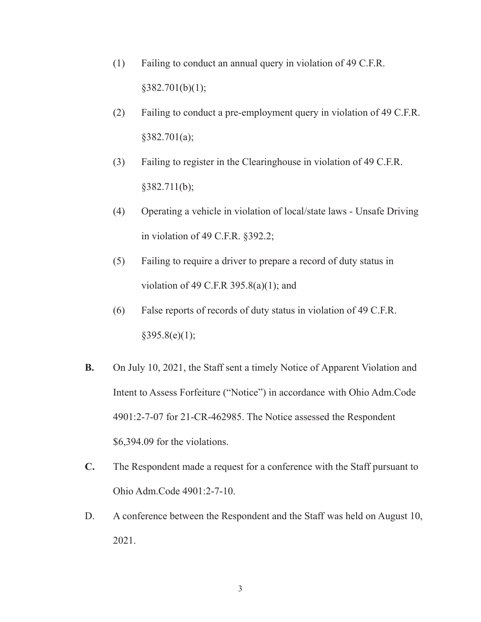- (1) Failing to conduct an annual query in violation of 49 C.F.R.  $§382.701(b)(1);$
- (2) Failing to conduct a pre-employment query in violation of 49 C.F.R.  $§382.701(a);$
- (3) Failing to register in the Clearinghouse in violation of 49 C.F.R.  $§382.711(b);$
- (4) Operating a vehicle in violation of local/state laws Unsafe Driving in violation of 49 C.F.R. §392.2;
- (5) Failing to require a driver to prepare a record of duty status in violation of 49 C.F.R 395.8(a)(1); and
- (6) False reports of records of duty status in violation of 49 C.F.R.  $§395.8(e)(1);$
- **B.** On July 10, 2021, the Staff sent a timely Notice of Apparent Violation and Intent to Assess Forfeiture ("Notice") in accordance with Ohio Adm.Code 4901:2-7-07 for 21-CR-462985. The Notice assessed the Respondent \$6,394.09 for the violations.
- **C.** The Respondent made a request for a conference with the Staff pursuant to Ohio Adm.Code 4901:2-7-10.
- D. A conference between the Respondent and the Staff was held on August 10, 2021.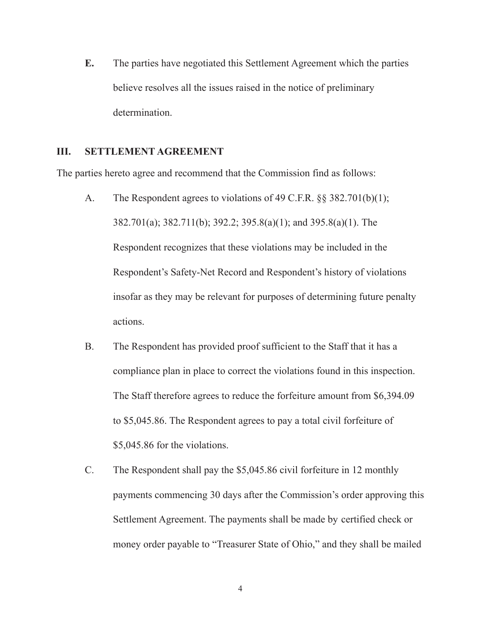**E.** The parties have negotiated this Settlement Agreement which the parties believe resolves all the issues raised in the notice of preliminary determination.

### **III. SETTLEMENT AGREEMENT**

The parties hereto agree and recommend that the Commission find as follows:

- A. The Respondent agrees to violations of 49 C.F.R. §§ 382.701(b)(1); 382.701(a); 382.711(b); 392.2; 395.8(a)(1); and 395.8(a)(1). The Respondent recognizes that these violations may be included in the Respondent's Safety-Net Record and Respondent's history of violations insofar as they may be relevant for purposes of determining future penalty actions.
- B. The Respondent has provided proof sufficient to the Staff that it has a compliance plan in place to correct the violations found in this inspection. The Staff therefore agrees to reduce the forfeiture amount from \$6,394.09 to \$5,045.86. The Respondent agrees to pay a total civil forfeiture of \$5,045.86 for the violations.
- C. The Respondent shall pay the \$5,045.86 civil forfeiture in 12 monthly payments commencing 30 days after the Commission's order approving this Settlement Agreement. The payments shall be made by certified check or money order payable to "Treasurer State of Ohio," and they shall be mailed

4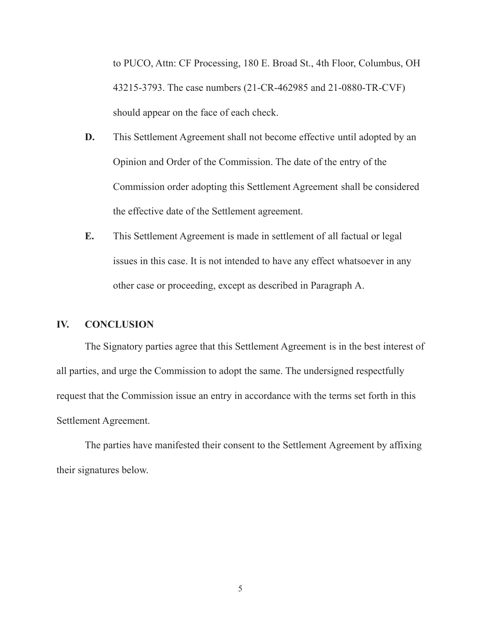to PUCO, Attn: CF Processing, 180 E. Broad St., 4th Floor, Columbus, OH 43215-3793. The case numbers (21-CR-462985 and 21-0880-TR-CVF) should appear on the face of each check.

- **D.** This Settlement Agreement shall not become effective until adopted by an Opinion and Order of the Commission. The date of the entry of the Commission order adopting this Settlement Agreement shall be considered the effective date of the Settlement agreement.
- **E.** This Settlement Agreement is made in settlement of all factual or legal issues in this case. It is not intended to have any effect whatsoever in any other case or proceeding, except as described in Paragraph A.

#### **IV. CONCLUSION**

The Signatory parties agree that this Settlement Agreement is in the best interest of all parties, and urge the Commission to adopt the same. The undersigned respectfully request that the Commission issue an entry in accordance with the terms set forth in this Settlement Agreement.

The parties have manifested their consent to the Settlement Agreement by affixing their signatures below.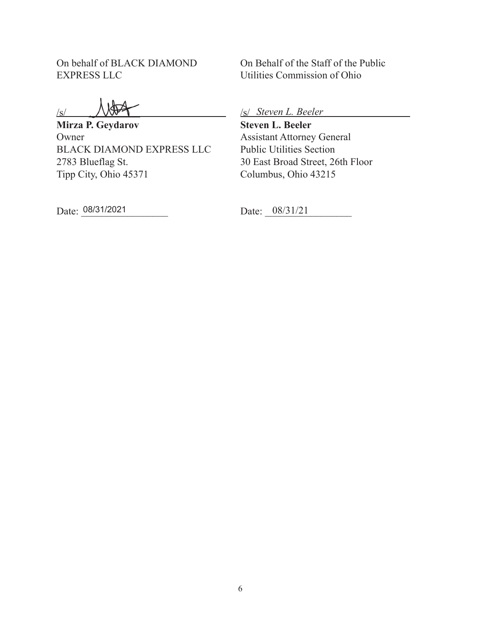On behalf of BLACK DIAMOND EXPRESS LLC

/s/

**Mirza P. Geydarov** Owner BLACK DIAMOND EXPRESS LLC 2783 Blueflag St. Tipp City, Ohio 45371

Date: 08/31/2021

On Behalf of the Staff of the Public Utilities Commission of Ohio

/s/ *Steven L. Beeler*

**Steven L. Beeler** Assistant Attorney General Public Utilities Section 30 East Broad Street, 26th Floor Columbus, Ohio 43215

Date: 08/31/21